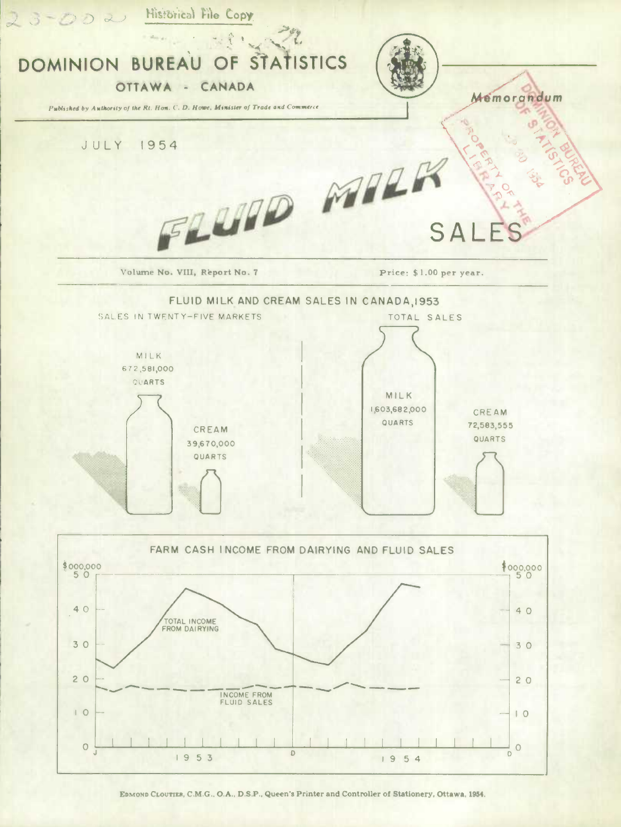

EDMOND CLOUTIER, C.M.G., O.A., D.S.P., Queen's Printer and Controller of Stationery, Ottawa, 1954.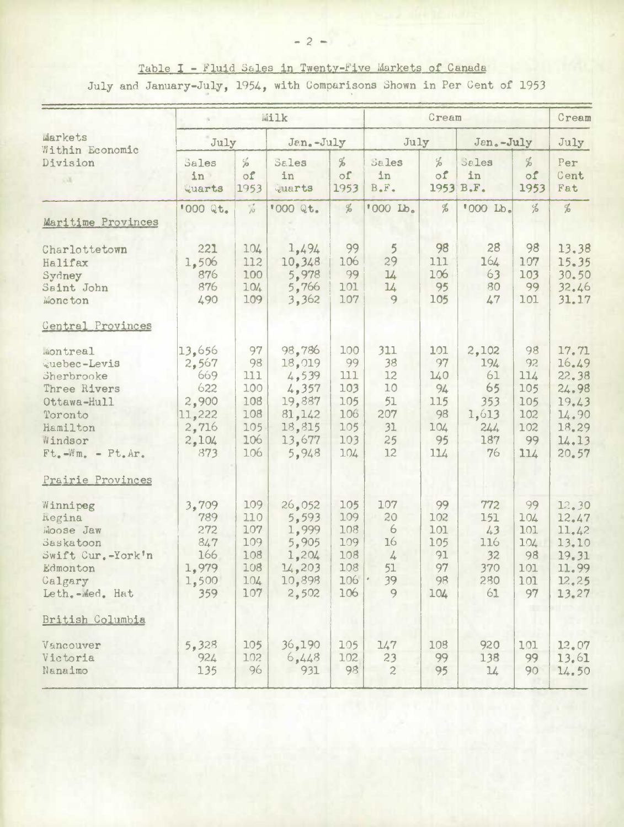Table I - Fluid Sales in Twenty-Five Markets of Canada July and January-July, 1954, with Comparisons Shown in Per Cent of 1953

|                                                                                                                                                                                        | Milk                                                                      |                                                           |                                                                                      |                                                            |                                                        | Cream                                                   |                                                              |                                                          |                                                                               |
|----------------------------------------------------------------------------------------------------------------------------------------------------------------------------------------|---------------------------------------------------------------------------|-----------------------------------------------------------|--------------------------------------------------------------------------------------|------------------------------------------------------------|--------------------------------------------------------|---------------------------------------------------------|--------------------------------------------------------------|----------------------------------------------------------|-------------------------------------------------------------------------------|
| Markets                                                                                                                                                                                | July                                                                      |                                                           | Jan.-July                                                                            |                                                            | July                                                   |                                                         | Jan.-July                                                    |                                                          | July                                                                          |
| Within Economic<br>Division<br>5.4                                                                                                                                                     | Sales<br>in<br>Quarts                                                     | $\frac{C_{f}^{f}}{10}$<br>of<br>1953                      | Sales<br>in<br>Quarts                                                                | %<br>of<br>1953                                            | Sales<br>in<br>$B \cdot F \cdot$                       | $\frac{6}{6}$<br>$\circ$ f                              | Sales<br>in<br>1953 B.F.                                     | %<br>of<br>1953                                          | Per<br>Cent<br>Fat                                                            |
| Maritime Provinces                                                                                                                                                                     | '000 Qt.                                                                  | $\frac{1}{p^2}$                                           | '000 Qt.                                                                             | %                                                          | '000 Lb.                                               | $\%$                                                    | '000 Lb.                                                     | $\frac{d}{d}$                                            | $\frac{d}{d}$                                                                 |
| Charlottetown<br>Halifax<br>Sydney<br>Saint John<br>Moncton                                                                                                                            | 221<br>1,506<br>876<br>876<br>490                                         | 104<br>112<br>100<br>104<br>109                           | 1,494<br>10,348<br>5,978<br>5,766<br>3,362                                           | 99<br>106<br>99<br>101<br>107                              | $\overline{5}$<br>29<br>14<br>14<br>9                  | 98<br>111<br>106<br>95<br>105                           | 28<br>164<br>63<br>80<br>47                                  | 98<br>107<br>103<br>99<br>101                            | 13.38<br>15.35<br>30.50<br>32.46<br>31.17                                     |
| Central Provinces<br>Montreal<br>Quebec-Levis<br>Sherbrooke<br>Three Rivers<br>Ottawa-Hull<br>Toronto<br>Hamilton<br>Windsor<br>$Ft_{\bullet}-Wm_{\bullet} - Pt_{\bullet}Ar_{\bullet}$ | 13,656<br>2,567<br>669<br>622<br>2,900<br>11,222<br>2,716<br>2,104<br>873 | 97<br>98<br>111<br>100<br>108<br>108<br>105<br>106<br>106 | 98,786<br>18,019<br>4, 539<br>4,357<br>19,887<br>81,142<br>18,815<br>13,677<br>5,948 | 100<br>99<br>111<br>103<br>105<br>106<br>105<br>103<br>104 | 311<br>38<br>12<br>10<br>51<br>207<br>31<br>25<br>12   | 101<br>97<br>140<br>94<br>115<br>98<br>104<br>95<br>114 | 2,102<br>194<br>61<br>65<br>353<br>1,613<br>244<br>187<br>76 | 98<br>92<br>114<br>105<br>105<br>102<br>102<br>99<br>114 | 17.71<br>16.49<br>22.38<br>24.98<br>19.43<br>14.90<br>18.29<br>14.13<br>20.57 |
| Prairie Provinces<br>Winnipeg<br>hegina<br>Moose Jaw<br>Saskatoon<br>Swift Cur.-York'n<br>Edmonton<br>Calgary<br>Leth.-Med. Hat<br>British Columbia                                    | 3,709<br>789<br>272<br>847<br>166<br>1,979<br>1,500<br>359                | 109<br>110<br>107<br>109<br>108<br>108<br>104<br>107      | 26,052<br>5,593<br>1,999<br>5,905<br>1,204<br>14,203<br>10,898<br>2,502              | 105<br>109<br>108<br>109<br>108<br>108<br>106<br>106       | 107<br>20<br>6<br>16<br>$\frac{1}{4}$<br>51<br>39<br>9 | 99<br>102<br>101<br>105<br>91<br>97<br>98<br>104        | 772<br>151<br>43<br>116<br>32<br>370<br>280<br>61            | 99<br>104<br>101<br>104<br>98<br>101<br>101<br>97        | 12.30<br>12.47<br>11.42<br>13.10<br>19.31<br>11.99<br>12.25<br>13,27          |
| Vancouver<br>Victoria<br>Nanaimo                                                                                                                                                       | 5,328<br>924<br>135                                                       | 105<br>102<br>96                                          | 36,190<br>6,448<br>931                                                               | 105<br>102<br>98                                           | 147<br>23<br>$\overline{2}$                            | 108<br>99<br>95                                         | 920<br>138<br>14                                             | 101<br>99<br>90                                          | 12.07<br>13.61<br>14.50                                                       |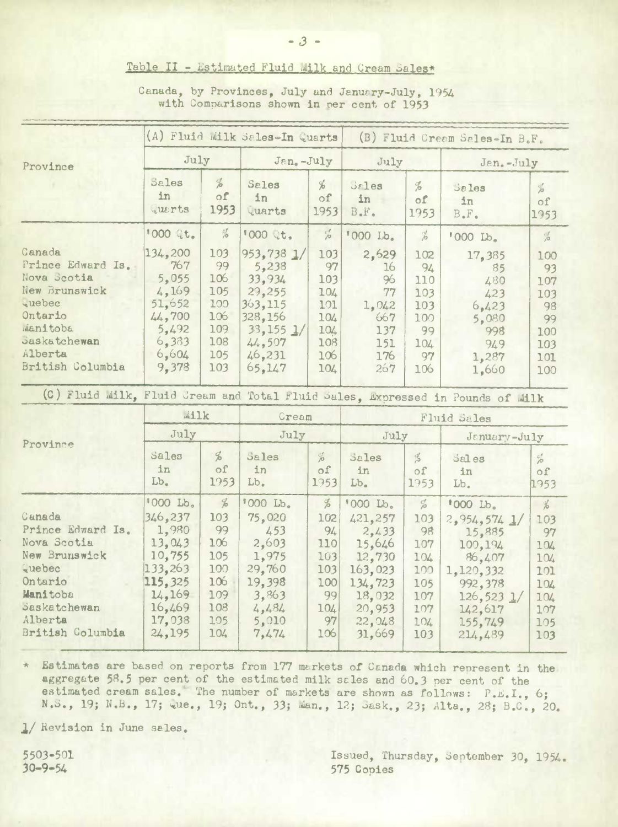## Table II - Estimated Fluid Milk and Cream Sales\*

| Canada, by Provinces, July and January-July, 1954 |  |  |  |
|---------------------------------------------------|--|--|--|
| with Comparisons shown in per cent of 1953        |  |  |  |

|                                                                                                                                                                  | (A) Fluid Milk Sales-In Quarts                                                                                 |                                                                                    |                                                                                                              |                                                                         | (B) Fluid Cream Sales-In B.F.                                                                                   |                                                                                             |                                                                                                                                        |                                                                                     |  |
|------------------------------------------------------------------------------------------------------------------------------------------------------------------|----------------------------------------------------------------------------------------------------------------|------------------------------------------------------------------------------------|--------------------------------------------------------------------------------------------------------------|-------------------------------------------------------------------------|-----------------------------------------------------------------------------------------------------------------|---------------------------------------------------------------------------------------------|----------------------------------------------------------------------------------------------------------------------------------------|-------------------------------------------------------------------------------------|--|
| Province                                                                                                                                                         | July                                                                                                           |                                                                                    | Jan.-July                                                                                                    |                                                                         | July                                                                                                            |                                                                                             | Jan.-July                                                                                                                              |                                                                                     |  |
|                                                                                                                                                                  | Sales<br>1n<br>Querts                                                                                          | $\frac{d}{d}$<br>of<br>1953                                                        | Sales<br>in<br>Quarts                                                                                        | $\frac{d}{d}$<br>of<br>1953                                             | <b>Sales</b><br>in<br>$B$ . $F$ .                                                                               | $\frac{d}{d}$<br>of<br>1953                                                                 | <b>Sales</b><br>in<br>$B$ . $F$ .                                                                                                      | $\frac{d}{d\theta}$<br>of<br>1953                                                   |  |
|                                                                                                                                                                  | 1000 Qt.                                                                                                       | $\frac{c}{10}$                                                                     | <b>『000 Qt.</b>                                                                                              | $\frac{d}{d\theta}$                                                     | '000 Lb.                                                                                                        | %                                                                                           | '000 Lb.                                                                                                                               | $\frac{1}{\rho}$                                                                    |  |
| Canada<br>Prince Edward Is.<br>Nova Scotia<br>New Brunswick<br><i><u>vuebec</u></i><br>Ontario<br>Manitoba<br><b>Saskatchewan</b><br>Alberta<br>British Columbia | 134,200<br>767<br>5,055<br>4,169<br>51,652<br>44,700<br>5,492<br>6,383<br>6,604<br>9,378                       | 103<br>99<br>106<br>105<br>100<br>106<br>109<br>108<br>105<br>103                  | 953,738 1/<br>5,238<br>33,934<br>29,255<br>363,115<br>328,156<br>$33,155$ $1/$<br>44,507<br>46,231<br>65,147 | 103<br>97<br>103<br>104<br>101<br>104<br>104<br>108<br>106<br>104       | 2,629<br>16<br>96<br>77<br>1,042<br>667<br>137<br>151<br>176<br>267                                             | 102<br>94<br>110<br>103<br>103<br>100<br>99<br>104<br>97<br>106                             | 17,385<br>85<br>480<br>423<br>6,423<br>5,080<br>998<br>949<br>1,287<br>1,660                                                           | 100<br>93<br>107<br>103<br>98<br>99<br>100<br>103<br>101<br>100                     |  |
| (C) Fluid Milk, Fluid Cream and Total Fluid Sales, Expressed in Pounds of Milk                                                                                   |                                                                                                                |                                                                                    |                                                                                                              |                                                                         |                                                                                                                 |                                                                                             |                                                                                                                                        |                                                                                     |  |
| Province                                                                                                                                                         | Wilk                                                                                                           |                                                                                    | Cream                                                                                                        |                                                                         | Fluid Sales                                                                                                     |                                                                                             |                                                                                                                                        |                                                                                     |  |
|                                                                                                                                                                  | July                                                                                                           |                                                                                    | July                                                                                                         |                                                                         | July                                                                                                            |                                                                                             | January-July                                                                                                                           |                                                                                     |  |
|                                                                                                                                                                  | Sales<br>1n<br>Lb.                                                                                             | $\frac{d}{d}$<br>of<br>1953                                                        | Sales<br>in<br>Lb.                                                                                           | $\frac{d}{d\theta}$<br>оf<br>1953                                       | Sales<br>in<br>Lb.                                                                                              | $\frac{d}{d}$<br>οf<br>1953                                                                 | Sales<br>in<br>Lb.                                                                                                                     | $\frac{c_1^4}{\rho^2}$<br>оf<br>1953                                                |  |
| Canada<br>Prince Edward Is.<br>Nova Scotia<br>New Brunswick<br>Quebec<br>Ontario<br>Manitoba<br>Saskatchewan<br>Alberta<br>British Columbia                      | '000 Lb.<br>346,237<br>1,980<br>13,043<br>10,755<br>133,263<br>115,325<br>14.169<br>16,469<br>17,038<br>24,195 | $\frac{d}{d}$<br>103<br>99<br>106<br>105<br>100<br>106<br>109<br>108<br>105<br>104 | '000 Lb.<br>75,020<br>453<br>2,603<br>1,975<br>29,760<br>19,398<br>3,863<br>4,484<br>5,010<br>7,474          | $\%$<br>102<br>94<br>110<br>103<br>103<br>100<br>99<br>104<br>97<br>106 | '000 Lb.<br>421,257<br>2,433<br>15,646<br>12,730<br>163,023<br>134,723<br>18,032<br>20,953<br>22, 048<br>31,669 | $\frac{C_1^f}{\rho^2}$<br>103<br>98<br>107<br>104<br>100<br>105<br>107<br>107<br>104<br>103 | '000 Lb.<br>$2,954,574$ $1/$<br>15,885<br>100,194<br>86,407<br>1,120,332<br>992,378<br>$126,523$ $1/$<br>142,617<br>155,749<br>214,489 | $\frac{d}{dx}$<br>103<br>97<br>104<br>104<br>101<br>104<br>104<br>107<br>105<br>103 |  |

\* Estimates are based on reports from 177 markets of Canada which represent in the aggregate 58.5 per cent of the estimated milk sales and 60.3 per cent of the estimated cream sales. The number of markets are shown as follows: P.E.I., 6; N.S., 19; N.B., 17; wue., 19; Ont., 33; Man., 12; Sask., 23; Alta., 28; B.C., 20.

1/ Revision in June sales.

5503-501  $30 - 9 - 54$ 

Issued, Thursday, September 30, 1954. 575 Copies